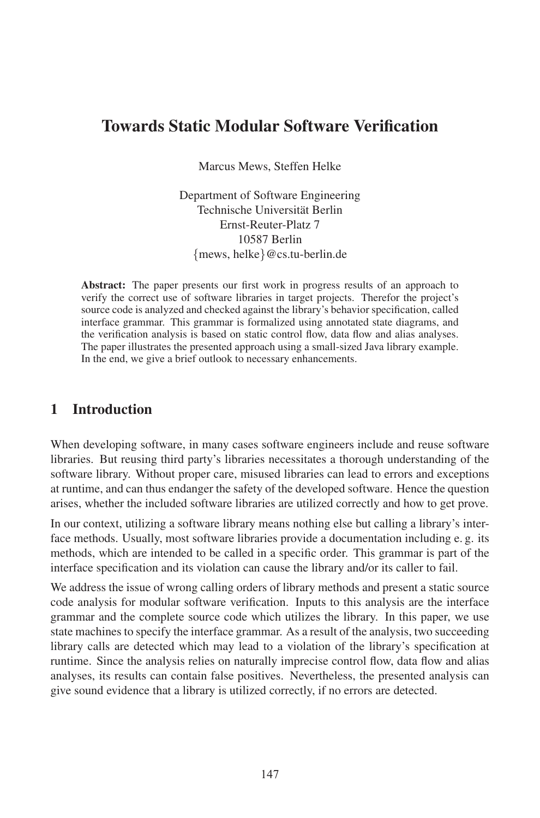# Towards Static Modular Software Verification

Marcus Mews, Steffen Helke

Department of Software Engineering Technische Universität Berlin Ernst-Reuter-Platz 7 10587 Berlin {mews, helke}@cs.tu-berlin.de

Abstract: The paper presents our first work in progress results of an approach to verify the correct use of software libraries in target projects. Therefor the project's source code is analyzed and checked against the library's behavior specification, called interface grammar. This grammar is formalized using annotated state diagrams, and the verification analysis is based on static control flow, data flow and alias analyses. The paper illustrates the presented approach using a small-sized Java library example. In the end, we give a brief outlook to necessary enhancements.

# 1 Introduction

When developing software, in many cases software engineers include and reuse software libraries. But reusing third party's libraries necessitates a thorough understanding of the software library. Without proper care, misused libraries can lead to errors and exceptions at runtime, and can thus endanger the safety of the developed software. Hence the question arises, whether the included software libraries are utilized correctly and how to get prove.

In our context, utilizing a software library means nothing else but calling a library's interface methods. Usually, most software libraries provide a documentation including e.g. its methods, which are intended to be called in a specific order. This grammar is part of the interface specification and its violation can cause the library and/or its caller to fail.

We address the issue of wrong calling orders of library methods and present a static source code analysis for modular software verification. Inputs to this analysis are the interface grammar and the complete source code which utilizes the library. In this paper, we use state machines to specify the interface grammar. As a result of the analysis, two succeeding library calls are detected which may lead to a violation of the library's specification at runtime. Since the analysis relies on naturally imprecise control flow, data flow and alias analyses, its results can contain false positives. Nevertheless, the presented analysis can give sound evidence that a library is utilized correctly, if no errors are detected.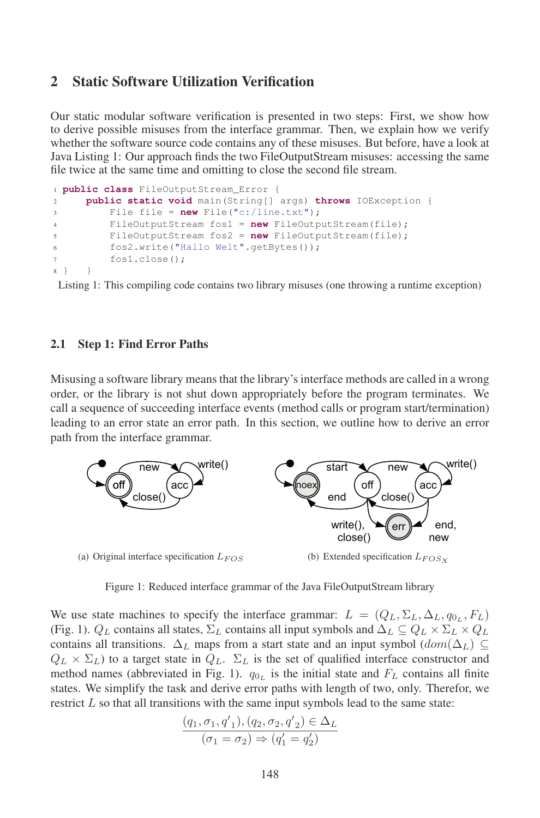### 2 Static Software Utilization Verification

Our static modular software verification is presented in two steps: First, we show how to derive possible misuses from the interface grammar. Then, we explain how we verify whether the software source code contains any of these misuses. But before, have a look at Java Listing 1: Our approach finds the two FileOutputStream misuses: accessing the same file twice at the same time and omitting to close the second file stream.

```
1 public class FileOutputStream_Error {
\overline{2} public static void main(String[] args) throws IOException {
3File file = new File("c:/line.txt");
4FileOutputStream fos1 = new FileOutputStream(file);
5FileOutputStream fos2 = new FileOutputStream(file);
6 fos2.write("Hallo Welt".getBytes());
7 fos1.close();
8 } }
```
Listing 1: This compiling code contains two library misuses (one throwing a runtime exception)

### 2.1 Step 1: Find Error Paths

Misusing a software library meansthat the library's interface methods are called in a wrong order, or the library is not shut down appropriately before the program terminates. We call a sequence of succeeding interface events (method calls or program start/termination) leading to an error state an error path. In this section, we outline how to derive an error path from the interface grammar.



Figure 1: Reduced interface grammar of the Java FileOutputStream library

We use state machines to specify the interface grammar:  $L = (Q_L, \Sigma_L, \Delta_L, q_{0_L}, F_L)$ (Fig. 1).  $Q_L$  contains all states,  $\Sigma_L$  contains all input symbols and  $\Delta_L \subseteq Q_L \times \Sigma_L \times Q_L$ contains all transitions.  $\Delta_L$  maps from a start state and an input symbol  $(dom(\Delta_L) \subseteq$  $Q_L \times \Sigma_L$ ) to a target state in  $Q_L$ .  $\Sigma_L$  is the set of qualified interface constructor and which is a differentiated in Fig. 1).  $q_{0L}$  is the initial state and  $F_L$  contains all finite method names (abbreviated in Fig. 1).  $q_{0L}$  is the initial state and  $F_L$  contains all finite states. We simplify the task and derive error paths with length of two, only. Therefor, we say that the task and derive error paths with length of two, only. Therefor, we restrict  $L$  so that all transitions with the same input symbols lead to the same state:

$$
\frac{(q_1, \sigma_1, q'_1), (q_2, \sigma_2, q'_2) \in \Delta_L}{(\sigma_1 = \sigma_2) \Rightarrow (q'_1 = q'_2)}
$$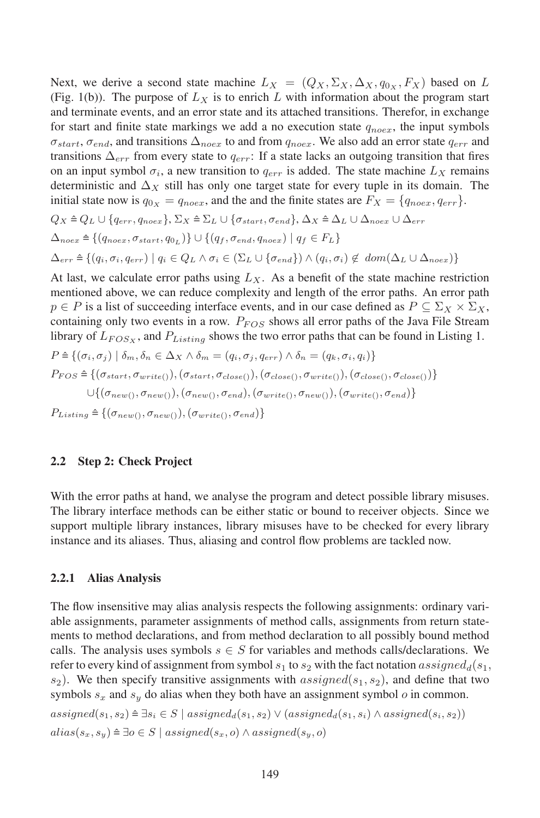Next, we derive a second state machine  $L_X = (Q_X, \Sigma_X, \Delta_X, q_{0_X}, F_X)$  based on L (Fig. 1(b)). The purpose of  $L_X$  is to enrich L with information about the program start and terminate events, and an error state and its attached transitions. Therefor, in exchange for start and finite state markings we add a no execution state  $q_{noex}$ , the input symbols  $\sigma_{start}$ ,  $\sigma_{end}$ , and transitions  $\Delta_{noex}$  to and from  $q_{noex}$ . We also add an error state  $q_{err}$  and transitions  $\Delta_{err}$  from every state to  $q_{err}$ : If a state lacks an outgoing transition that fires on an input symbol  $\sigma_i$ , a new transition to  $q_{err}$  is added. The state machine  $L_X$  remains deterministic and  $\Delta_X$  still has only one target state for every tuple in its domain. The initial state now is  $q_{0x} = q_{noex}$ , and the and the finite states are  $F_X = \{q_{noex}, q_{err}\}.$  $Q_X \triangleq Q_L \cup \{q_{err}, q_{noex}\}, \Sigma_X \triangleq \Sigma_L \cup \{\sigma_{start}, \sigma_{end}\}, \Delta_X \triangleq \Delta_L \cup \Delta_{noex} \cup \Delta_{err}$  $\Delta_{noex}$  = { $(q_{noex}, \sigma_{start}, q_{0_L})$ }  $\cup$  { $(q_f, \sigma_{end}, q_{noex})$  |  $q_f \in F_L$ }  $\Delta_{err} \triangleq \{(q_i, \sigma_i, q_{err}) \mid q_i \in Q_L \land \sigma_i \in (\Sigma_L \cup {\sigma_{end}}) \land (q_i, \sigma_i) \notin dom(\Delta_L \cup \Delta_{noex})\}$ At last, we calculate error paths using  $L_X$ . As a benefit of the state machine restriction mentioned above, we can reduce complexity and length of the error paths. An error path  $p \in P$  is a list of succeeding interface events, and in our case defined as  $P \subseteq \Sigma_X \times \Sigma_X$ , containing only two events in a row.  $P_{FOS}$  shows all error paths of the Java File Stream library of  $L_{FOS_X}$ , and  $P_{Listing}$  shows the two error paths that can be found in Listing 1.  $P \triangleq \{(\sigma_i, \sigma_j) \mid \delta_m, \delta_n \in \Delta_X \wedge \delta_m = (q_i, \sigma_j, q_{err}) \wedge \delta_n = (q_k, \sigma_i, q_i)\}$  $P_{FOS} \triangleq \{(\sigma_{start}, \sigma_{write()}),(\sigma_{start}, \sigma_{close()}),(\sigma_{close()}, \sigma_{write()}),(\sigma_{close()}, \sigma_{close()})\}$  $\cup \{(\sigma_{new(),},\sigma_{new(),}(\sigma_{new(),},\sigma_{end}),(\sigma_{write(),},\sigma_{new(),}(\sigma_{write(),},\sigma_{end})\}$  $P_{Listing} \triangleq \{(\sigma_{new(), \sigma_{new(),}}(\sigma_{write(), \sigma_{end})\}$ 

#### 2.2 Step 2: Check Project

With the error paths at hand, we analyse the program and detect possible library misuses. The library interface methods can be either static or bound to receiver objects. Since we support multiple library instances, library misuses have to be checked for every library instance and its aliases. Thus, aliasing and control flow problems are tackled now.

### 2.2.1 Alias Analysis

The flow insensitive may alias analysis respects the following assignments: ordinary variable assignments, parameter assignments of method calls, assignments from return statements to method declarations, and from method declaration to all possibly bound method calls. The analysis uses symbols  $s \in S$  for variables and methods calls/declarations. We refer to every kind of assignment from symbol  $s_1$  to  $s_2$  with the fact notation assigned<sub>d</sub>(s<sub>1</sub>,  $s_2$ ). We then specify transitive assignments with  $assigned(s_1, s_2)$ , and define that two symbols  $s_x$  and  $s_y$  do alias when they both have an assignment symbol *o* in common.  $assigned(s_1, s_2) \hat{=} \exists s_i \in S \mid assigned_d(s_1, s_2) \vee (assigned_d(s_1, s_i) \wedge assigned(s_i, s_2))$  $alias(s_x, s_y) \triangleq \exists o \in S \mid assigned(s_x, o) \land assigned(s_y, o)$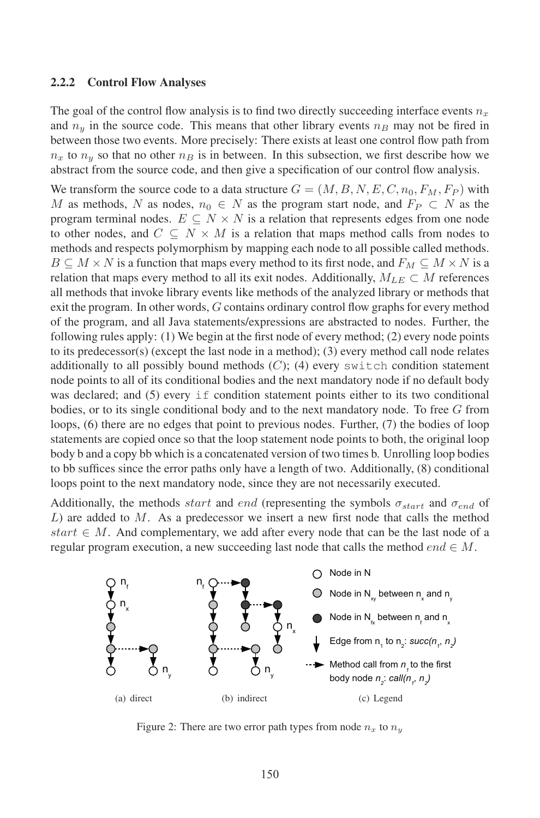#### 2.2.2 Control Flow Analyses

The goal of the control flow analysis is to find two directly succeeding interface events  $n_x$ and  $n_y$  in the source code. This means that other library events  $n_B$  may not be fired in between those two events. More precisely: There exists at least one control flow path from  $n_x$  to  $n_y$  so that no other  $n_B$  is in between. In this subsection, we first describe how we  $\alpha_x$  is  $\alpha_y$  so that he source code, and then give a specification of our control flow analysis.

We transform the source code to a data structure  $G = (M, B, N, E, C, n_0, F_M, F_P)$  with M as methods, N as nodes,  $n_0 \in N$  as the program start node, and  $F_P \subset N$  as the program terminal nodes.  $E \subseteq N \times N$  is a relation that represents edges from one node to other nodes, and  $C \subseteq N \times M$  is a relation that maps method calls from nodes to methods and respects polymorphism by mapping each node to all possible called methods.  $B \subseteq M \times N$  is a function that maps every method to its first node, and  $F_M \subseteq M \times N$  is a relation that maps every method to all its exit nodes. Additionally,  $M_{LE} \subset M$  references all methods that invoke library events like methods of the analyzed library or methods that invoke library events like methods of the analyzed library or methods that exit the program. In other words, G contains ordinary control flow graphs for every method of the program, and all Java statements/expressions are abstracted to nodes. Further, the following rules apply: (1) We begin at the first node of every method; (2) every node points to its predecessor(s) (except the last node in a method); (3) every method call node relates additionally to all possibly bound methods  $(C)$ ; (4) every switch condition statement node points to all of its conditional bodies and the next mandatory node if no default body was declared; and (5) every if condition statement points either to its two conditional bodies, or to its single conditional body and to the next mandatory node. To free G from loops, (6) there are no edges that point to previous nodes. Further, (7) the bodies of loop statements are copied once so that the loop statement node points to both, the original loop statements are copied once so that the loop statement node points to both, the original loop body b and a copy bb which is a concatenated version of two times b. Unrolling loop bodies to bb suffices since the error paths only have a length of two. Additionally, (8) conditional loops point to the next mandatory node, since they are not necessarily executed.

Additionally, the methods *start* and *end* (representing the symbols  $\sigma_{start}$  and  $\sigma_{end}$  of  $L$ ) are added to  $M$ . As a predecessor we insert a new first node that calls the method start  $\in M$ . And complementary, we add after every node that can be the last node of a regular program execution, a new succeeding last node that calls the method *end*  $\in$  M.



Figure 2: There are two error path types from node  $n_x$  to  $n_y$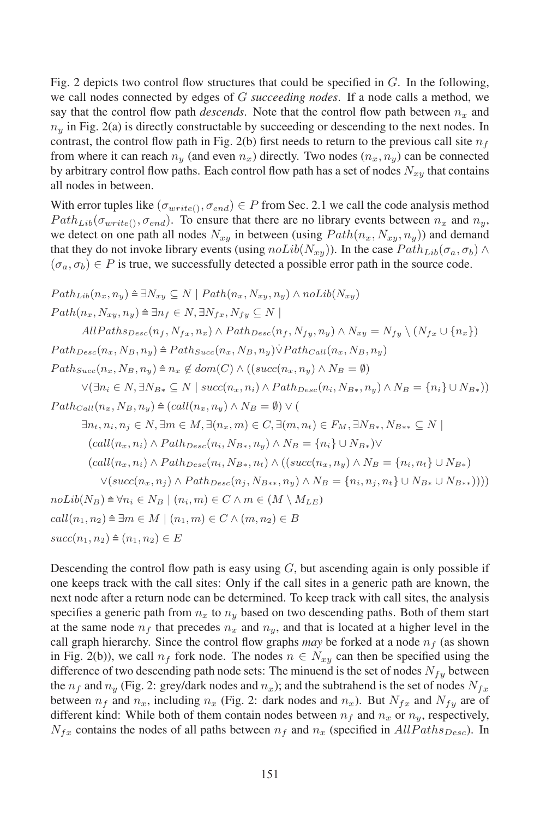Fig. 2 depicts two control flow structures that could be specified in G. In the following, we call nodes connected by edges of <sup>G</sup> *succeeding nodes*. Ifanode calls a method, we say that the control flow path *descends*. Note that the control flow path between  $n_x$  and  $n_y$  in Fig. 2(a) is directly constructable by succeeding or descending to the next nodes. In contrast, the control flow path in Fig. 2(b) first needs to return to the previous call site  $n_f$ from where it can reach  $n_y$  (and even  $n_x$ ) directly. Two nodes  $(n_x, n_y)$  can be connected by arbitrary control flow paths. Each control flow path has a set of nodes  $N_{xy}$  that contains by arbitrary control flow paths. Each control flow path has a set of nodes  $N_{xy}$  that contains all nodes in between.

With error tuples like  $(\sigma_{write()}, \sigma_{end}) \in P$  from Sec. 2.1 we call the code analysis method  $Path_{Lib}(\sigma_{write(1)}, \sigma_{end})$ . To ensure that there are no library events between  $n_x$  and  $n_y$ , we detect on one path all nodes  $N_{xy}$  in between (using  $Path(n_x, N_{xy}, n_y)$ ) and demand that they do not invoke library events (using  $noLib(N_{xy})$ ). In the case  $Path_{Lib}(\sigma_a, \sigma_b) \wedge$  $(\sigma_a, \sigma_b) \in P$  is true, we successfully detected a possible error path in the source code.

$$
Path_{Lib}(n_x, n_y) \cong \exists N_{xy} \subseteq N \mid Path(n_x, N_{xy}, n_y) \land nolib(N_{xy})
$$
\n
$$
Path(n_x, N_{xy}, n_y) \cong \exists n_f \in N, \exists N_{fx}, N_{fy} \subseteq N \mid
$$
\n
$$
AllPaths_{Desc}(n_f, N_{fx}, n_x) \land Path_{Desc}(n_f, N_{fy}, n_y) \land N_{xy} = N_{fy} \setminus (N_{fx} \cup \{n_x\})
$$
\n
$$
Path_{Desc}(n_x, N_B, n_y) \cong Path_{Succ}(n_x, N_B, n_y) \lor Path_{Call}(n_x, N_B, n_y)
$$
\n
$$
Path_{Succ}(n_x, N_B, n_y) \cong n_x \notin dom(C) \land ((succ(n_x, n_y) \land N_B = \emptyset)
$$
\n
$$
\lor (\exists n_i \in N, \exists N_{B*} \subseteq N \mid succ(n_x, n_i) \land Path_{Desc}(n_i, N_{B*}, n_y) \land N_B = \{n_i\} \cup N_{B*}))
$$
\n
$$
Path_{Call}(n_x, N_B, n_y) \cong (call(n_x, n_y) \land N_B = \emptyset) \lor (\exists n_t, n_i, n_j \in N, \exists m \in M, \exists (n_x, m) \in C, \exists (m, n_t) \in F_M, \exists N_{B*}, N_{B**} \subseteq N \mid
$$
\n
$$
(call(n_x, n_i) \land Path_{Desc}(n_i, N_{B*}, n_y) \land N_B = \{n_i\} \cup N_{B*}) \lor
$$
\n
$$
(call(n_x, n_i) \land Path_{Desc}(n_i, N_{B*}, n_t) \land ((succ(n_x, n_y) \land N_B = \{n_i, n_i\} \cup N_{B*}) \lor (succ(n_x, n_j) \land Path_{Desc}(n_i, N_{B**}, n_y) \land N_B = \{n_i, n_i, n_i\} \cup N_{B*})
$$
\n
$$
Vol(b(N_B) \cong \forall n_i \in N_B \mid (n_i, m) \in C \land m \in (M \setminus M_{LE})
$$
\n
$$
call(n_1, n_2) \cong \exists m \in M \mid (n_1, m) \in C \land (m, n_2) \in B
$$
\n
$$
succ(n_1, n_2) \in E
$$

Descending the control flow path is easy using  $G$ , but ascending again is only possible if  $\epsilon$  one keeps track with the call sites: Only if the call sites in a generic path are known, the next node after a return node can be determined. To keep track with call sites, the analysis specifies a generic path from  $n_x$  to  $n_y$  based on two descending paths. Both of them start at the same node  $n_f$  that precedes  $n_x$  and  $n_y$ , and that is located at a higher level in the call graph hierarchy. Since the control flow graphs *may* be forked at a node  $n_f$  (as shown in Fig. 2(b)), we call  $n_f$  fork node. The nodes  $n \in N_{xy}$  can then be specified using the difference of two descending path node sets: The minuend is the set of nodes  $N_{fy}$  between the  $n_f$  and  $n_y$  (Fig. 2: grey/dark nodes and  $n_x$ ); and the subtrahend is the set of nodes  $N_{fx}$ between  $n_f$  and  $n_x$ , including  $n_x$  (Fig. 2: dark nodes and  $n_x$ ). But  $N_{fx}$  and  $N_{fy}$  are of different kind: While both of them contain nodes between  $n_f$  and  $n_x$  or  $n_y$ , respectively,  $N_{fx}$  contains the nodes of all paths between  $n_f$  and  $n_x$  (specified in AllPaths<sub>Desc</sub>). In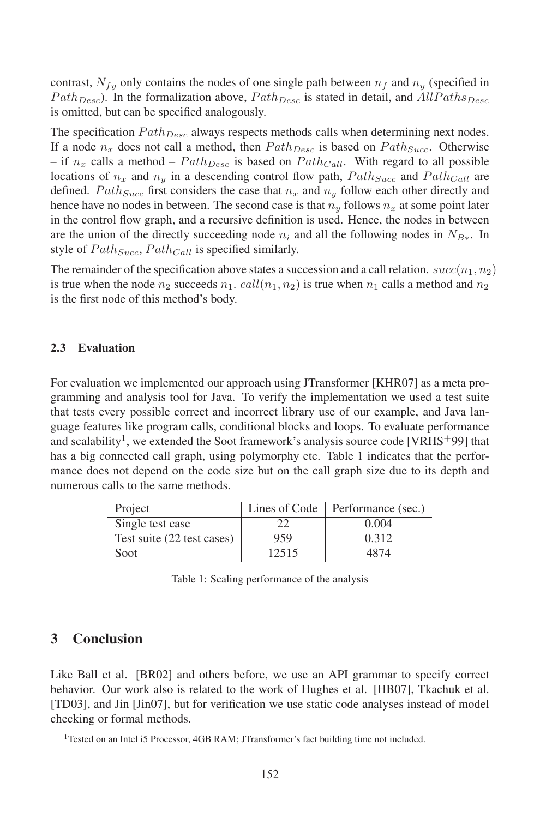contrast,  $N_{fy}$  only contains the nodes of one single path between  $n_f$  and  $n_y$  (specified in  $Path_{Desc}$ ). In the formalization above,  $Path_{Desc}$  is stated in detail, and  $AllPaths_{Desc}$  $\frac{1}{2}$  and  $\frac{1}{2}$  is omitted, but can be specified analogously.

The specification  $Path_{Desc}$  always respects methods calls when determining next nodes. If a node  $n_x$  does not call a method, then  $Path_{Desc}$  is based on  $Path_{Succ}$ . Otherwise – if  $n_x$  calls a method –  $Path_{Desc}$  is based on  $Path_{Call}$ . With regard to all possible locations of  $n_x$  and  $n_y$  in a descending control flow path,  $Path_{Succ}$  and  $Path_{Call}$  are defined. *Path<sub>Succ</sub>* first considers the case that  $n_x$  and  $n_y$  follow each other directly and defined. hence have no nodes in between. The second case is that  $n_y$  follows  $n_x$  at some point later in the control flow graph, and a recursive definition is used. Hence, the nodes in between are the union of the directly succeeding node  $n_i$  and all the following nodes in  $N_{B<sub>*</sub>}$ . In style of  $Path_{Succ}$ ,  $Path_{Call}$  is specified similarly.

The remainder of the specification above states a succession and a call relation.  $succ(n_1, n_2)$ is true when the node  $n_2$  succeeds  $n_1$ .  $call(n_1, n_2)$  is true when  $n_1$  calls a method and  $n_2$ is the first node of this method's body.

### 2.3 Evaluation

For evaluation we implemented our approach using JTransformer [KHR07] as a meta programming and analysis tool for Java. To verify the implementation we used a test suite that tests every possible correct and incorrect library use of our example, and Java language features like program calls, conditional blocks and loops. To evaluate performance and scalability<sup>1</sup>, we extended the Soot framework's analysis source code [VRHS<sup>+</sup>99] that has a big connected call graph, using polymorphy etc. Table 1 indicates that the performance does not depend on the code size but on the call graph size due to its depth and numerous calls to the same methods.

| Project                    |       | Lines of Code   Performance (sec.) |
|----------------------------|-------|------------------------------------|
| Single test case           |       | 0.004                              |
| Test suite (22 test cases) | 959   | 0.312                              |
| Soot                       | 12515 | 4874                               |

Table 1: Scaling performance of the analysis

### 3 Conclusion

Like Ball et al. [BR02] and others before, we use an API grammar to specify correct behavior. Our work also is related to the work of Hughes et al. [HB07], Tkachuk et al. [TD03], and Jin [Jin07], but for verification we use static code analyses instead of model checking or formal methods.

 $\frac{1}{1}$ Tested on an Intel i5 Processor, 4GB RAM: JTransformer's fact building time not included.